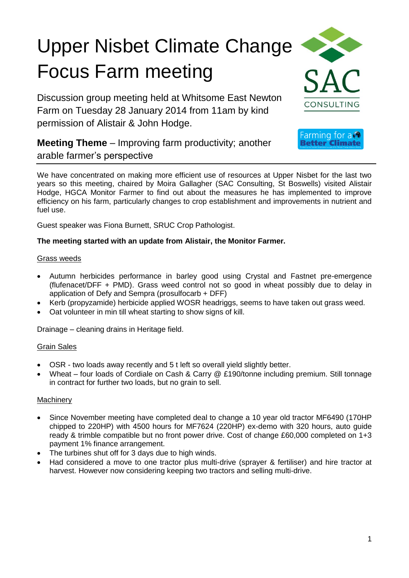# Upper Nisbet Climate Change Focus Farm meeting

Discussion group meeting held at Whitsome East Newton Farm on Tuesday 28 January 2014 from 11am by kind permission of Alistair & John Hodge.



Farming for  $a \bigcirc$ Better Climate

**Meeting Theme** – Improving farm productivity; another arable farmer's perspective

We have concentrated on making more efficient use of resources at Upper Nisbet for the last two years so this meeting, chaired by Moira Gallagher (SAC Consulting, St Boswells) visited Alistair Hodge, HGCA Monitor Farmer to find out about the measures he has implemented to improve efficiency on his farm, particularly changes to crop establishment and improvements in nutrient and fuel use.

Guest speaker was Fiona Burnett, SRUC Crop Pathologist.

# **The meeting started with an update from Alistair, the Monitor Farmer.**

#### Grass weeds

- Autumn herbicides performance in barley good using Crystal and Fastnet pre-emergence (flufenacet/DFF + PMD). Grass weed control not so good in wheat possibly due to delay in application of Defy and Sempra (prosulfocarb + DFF)
- Kerb (propyzamide) herbicide applied WOSR headriggs, seems to have taken out grass weed.
- Oat volunteer in min till wheat starting to show signs of kill.

Drainage – cleaning drains in Heritage field.

#### Grain Sales

- OSR two loads away recently and 5 t left so overall yield slightly better.
- Wheat four loads of Cordiale on Cash & Carry @ £190/tonne including premium. Still tonnage in contract for further two loads, but no grain to sell.

#### **Machinery**

- Since November meeting have completed deal to change a 10 year old tractor MF6490 (170HP chipped to 220HP) with 4500 hours for MF7624 (220HP) ex-demo with 320 hours, auto guide ready & trimble compatible but no front power drive. Cost of change £60,000 completed on 1+3 payment 1% finance arrangement.
- The turbines shut off for 3 days due to high winds.
- Had considered a move to one tractor plus multi-drive (sprayer & fertiliser) and hire tractor at harvest. However now considering keeping two tractors and selling multi-drive.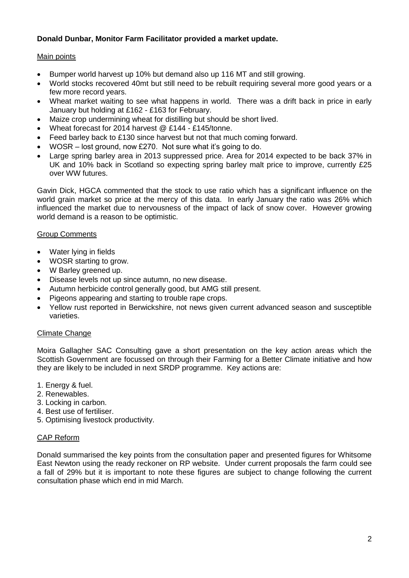# **Donald Dunbar, Monitor Farm Facilitator provided a market update.**

# Main points

- Bumper world harvest up 10% but demand also up 116 MT and still growing.
- World stocks recovered 40mt but still need to be rebuilt requiring several more good years or a few more record years.
- Wheat market waiting to see what happens in world. There was a drift back in price in early January but holding at £162 - £163 for February.
- Maize crop undermining wheat for distilling but should be short lived.
- Wheat forecast for 2014 harvest @ £144 £145/tonne.
- Feed barley back to £130 since harvest but not that much coming forward.
- WOSR lost ground, now £270. Not sure what it's going to do.
- Large spring barley area in 2013 suppressed price. Area for 2014 expected to be back 37% in UK and 10% back in Scotland so expecting spring barley malt price to improve, currently £25 over WW futures.

Gavin Dick, HGCA commented that the stock to use ratio which has a significant influence on the world grain market so price at the mercy of this data. In early January the ratio was 26% which influenced the market due to nervousness of the impact of lack of snow cover. However growing world demand is a reason to be optimistic.

#### Group Comments

- Water lying in fields
- WOSR starting to grow.
- W Barley greened up.
- Disease levels not up since autumn, no new disease.
- Autumn herbicide control generally good, but AMG still present.
- Pigeons appearing and starting to trouble rape crops.
- Yellow rust reported in Berwickshire, not news given current advanced season and susceptible varieties.

#### Climate Change

Moira Gallagher SAC Consulting gave a short presentation on the key action areas which the Scottish Government are focussed on through their Farming for a Better Climate initiative and how they are likely to be included in next SRDP programme. Key actions are:

- 1. Energy & fuel.
- 2. Renewables.
- 3. Locking in carbon.
- 4. Best use of fertiliser.
- 5. Optimising livestock productivity.

#### CAP Reform

Donald summarised the key points from the consultation paper and presented figures for Whitsome East Newton using the ready reckoner on RP website. Under current proposals the farm could see a fall of 29% but it is important to note these figures are subject to change following the current consultation phase which end in mid March.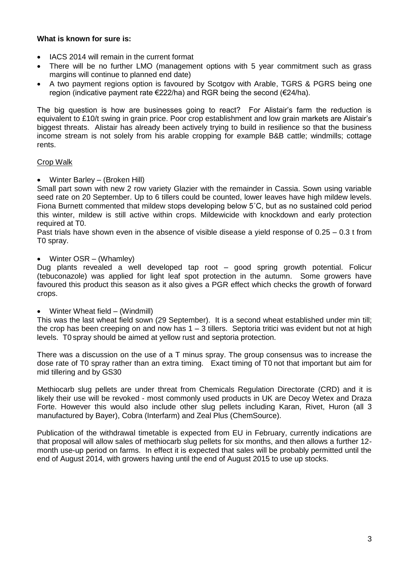#### **What is known for sure is:**

- IACS 2014 will remain in the current format
- There will be no further LMO (management options with 5 year commitment such as grass margins will continue to planned end date)
- A two payment regions option is favoured by Scotgov with Arable, TGRS & PGRS being one region (indicative payment rate  $\epsilon$ 222/ha) and RGR being the second ( $\epsilon$ 24/ha).

The big question is how are businesses going to react? For Alistair's farm the reduction is equivalent to £10/t swing in grain price. Poor crop establishment and low grain markets are Alistair's biggest threats. Alistair has already been actively trying to build in resilience so that the business income stream is not solely from his arable cropping for example B&B cattle; windmills; cottage rents.

# Crop Walk

Winter Barley – (Broken Hill)

Small part sown with new 2 row variety Glazier with the remainder in Cassia. Sown using variable seed rate on 20 September. Up to 6 tillers could be counted, lower leaves have high mildew levels. Fiona Burnett commented that mildew stops developing below 5˚C, but as no sustained cold period this winter, mildew is still active within crops. Mildewicide with knockdown and early protection required at T0.

Past trials have shown even in the absence of visible disease a yield response of 0.25 – 0.3 t from T0 spray.

#### Winter OSR – (Whamley)

Dug plants revealed a well developed tap root – good spring growth potential. Folicur (tebuconazole) was applied for light leaf spot protection in the autumn. Some growers have favoured this product this season as it also gives a PGR effect which checks the growth of forward crops.

#### Winter Wheat field – (Windmill)

This was the last wheat field sown (29 September). It is a second wheat established under min till; the crop has been creeping on and now has 1 – 3 tillers. Septoria tritici was evident but not at high levels. T0 spray should be aimed at yellow rust and septoria protection.

There was a discussion on the use of a T minus spray. The group consensus was to increase the dose rate of T0 spray rather than an extra timing. Exact timing of T0 not that important but aim for mid tillering and by GS30

Methiocarb slug pellets are under threat from Chemicals Regulation Directorate (CRD) and it is likely their use will be revoked - most commonly used products in UK are Decoy Wetex and Draza Forte. However this would also include other slug pellets including Karan, Rivet, Huron (all 3 manufactured by Bayer), Cobra (Interfarm) and Zeal Plus (ChemSource).

Publication of the withdrawal timetable is expected from EU in February, currently indications are that proposal will allow sales of methiocarb slug pellets for six months, and then allows a further 12 month use-up period on farms. In effect it is expected that sales will be probably permitted until the end of August 2014, with growers having until the end of August 2015 to use up stocks.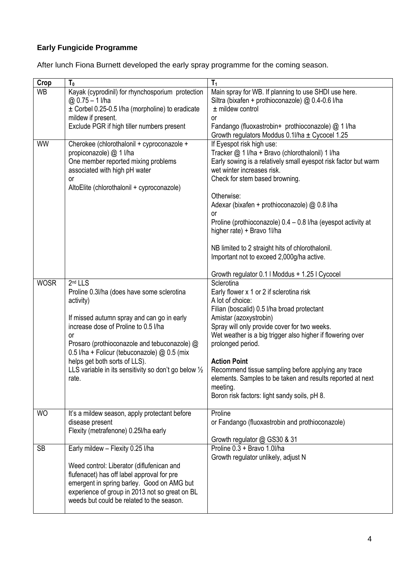# **Early Fungicide Programme**

After lunch Fiona Burnett developed the early spray programme for the coming season.

| Crop        | T <sub>0</sub>                                                                                                                                                                                                                                                                                                                                                                          | T <sub>1</sub>                                                                                                                                                                                                                                                                                                                                                                                                                                                                                                                                 |
|-------------|-----------------------------------------------------------------------------------------------------------------------------------------------------------------------------------------------------------------------------------------------------------------------------------------------------------------------------------------------------------------------------------------|------------------------------------------------------------------------------------------------------------------------------------------------------------------------------------------------------------------------------------------------------------------------------------------------------------------------------------------------------------------------------------------------------------------------------------------------------------------------------------------------------------------------------------------------|
| <b>WB</b>   | Kayak (cyprodinil) for rhynchosporium protection<br>$@0.75 - 1$ l/ha<br>± Corbel 0.25-0.5 l/ha (morpholine) to eradicate<br>mildew if present.<br>Exclude PGR if high tiller numbers present                                                                                                                                                                                            | Main spray for WB. If planning to use SHDI use here.<br>Siltra (bixafen + prothioconazole) @ 0.4-0.6 l/ha<br>$±$ mildew control<br><b>or</b><br>Fandango (fluoxastrobin+ prothioconazole) @ 1 l/ha<br>Growth regulators Moddus 0.1/ha ± Cycocel 1.25                                                                                                                                                                                                                                                                                           |
| <b>WW</b>   | Cherokee (chlorothalonil + cyproconazole +<br>propiconazole) @ 1 l/ha<br>One member reported mixing problems<br>associated with high pH water<br>or<br>AltoElite (chlorothalonil + cyproconazole)                                                                                                                                                                                       | If Eyespot risk high use:<br>Tracker @ 1 I/ha + Bravo (chlorothalonil) 1 I/ha<br>Early sowing is a relatively small eyespot risk factor but warm<br>wet winter increases risk.<br>Check for stem based browning.<br>Otherwise:<br>Adexar (bixafen + prothioconazole) @ 0.8 l/ha<br><b>or</b><br>Proline (prothioconazole) 0.4 - 0.8 I/ha (eyespot activity at<br>higher rate) + Bravo 1I/ha<br>NB limited to 2 straight hits of chlorothalonil.<br>Important not to exceed 2,000g/ha active.<br>Growth regulator 0.1 I Moddus + 1.25 I Cycocel |
| <b>WOSR</b> | 2 <sup>nd</sup> LLS<br>Proline 0.3I/ha (does have some sclerotina<br>activity)<br>If missed autumn spray and can go in early<br>increase dose of Proline to 0.5 I/ha<br>or<br>Prosaro (prothioconazole and tebuconazole) @<br>0.5 l/ha + Folicur (tebuconazole) @ 0.5 (mix<br>helps get both sorts of LLS).<br>LLS variable in its sensitivity so don't go below $\frac{1}{2}$<br>rate. | Sclerotina<br>Early flower x 1 or 2 if sclerotina risk<br>A lot of choice:<br>Filian (boscalid) 0.5 I/ha broad protectant<br>Amistar (azoxystrobin)<br>Spray will only provide cover for two weeks.<br>Wet weather is a big trigger also higher if flowering over<br>prolonged period.<br><b>Action Point</b><br>Recommend tissue sampling before applying any trace<br>elements. Samples to be taken and results reported at next<br>meeting.<br>Boron risk factors: light sandy soils, pH 8.                                                 |
| <b>WO</b>   | It's a mildew season, apply protectant before<br>disease present<br>Flexity (metrafenone) 0.25I/ha early                                                                                                                                                                                                                                                                                | Proline<br>or Fandango (fluoxastrobin and prothioconazole)<br>Growth regulator @ GS30 & 31                                                                                                                                                                                                                                                                                                                                                                                                                                                     |
| <b>SB</b>   | Early mildew - Flexity 0.25 I/ha<br>Weed control: Liberator (diflufenican and<br>flufenacet) has off label approval for pre<br>emergent in spring barley. Good on AMG but<br>experience of group in 2013 not so great on BL<br>weeds but could be related to the season.                                                                                                                | Proline 0.3 + Bravo 1.0l/ha<br>Growth regulator unlikely, adjust N                                                                                                                                                                                                                                                                                                                                                                                                                                                                             |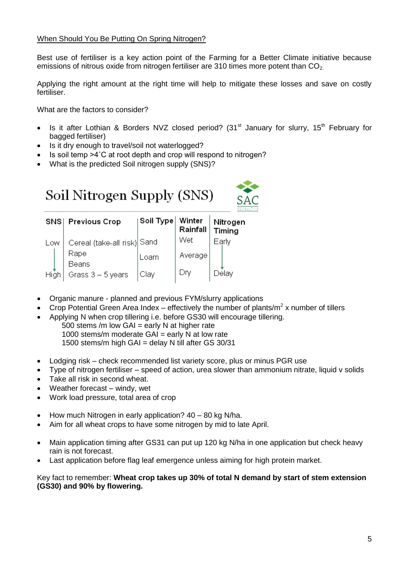#### When Should You Be Putting On Spring Nitrogen?

Best use of fertiliser is a key action point of the Farming for a Better Climate initiative because emissions of nitrous oxide from nitrogen fertiliser are 310 times more potent than  $CO<sub>2</sub>$ .

Applying the right amount at the right time will help to mitigate these losses and save on costly fertiliser.

What are the factors to consider?

- Is it after Lothian & Borders NVZ closed period? (31<sup>st</sup> January for slurry, 15<sup>th</sup> February for bagged fertiliser)
- Is it dry enough to travel/soil not waterlogged?
- Is soil temp >4°C at root depth and crop will respond to nitrogen?
- What is the predicted Soil nitrogen supply (SNS)?

| Soil Nitrogen Supply (SNS) |  |  |
|----------------------------|--|--|
|----------------------------|--|--|



|      | SNS Previous Crop           | ∣Soil Type ∣ | Winter<br>Rainfall | Nitrogen<br>Timing |
|------|-----------------------------|--------------|--------------------|--------------------|
| Low  | Cereal (take-all risk) Sand |              | Wet                | Early              |
|      | Rape                        | Loam         | Average            |                    |
| High | Beans<br>Grass 3 - 5 years  | Clay         | Div                | Delay              |

- Organic manure planned and previous FYM/slurry applications
- Crop Potential Green Area Index effectively the number of plants/m<sup>2</sup> x number of tillers
- Applying N when crop tillering i.e. before GS30 will encourage tillering.
	- 500 stems /m low  $GAI =$  early N at higher rate 1000 stems/m moderate  $GAI =$  early N at low rate 1500 stems/m high GAI = delay N till after GS 30/31
- Lodging risk check recommended list variety score, plus or minus PGR use
- Type of nitrogen fertiliser speed of action, urea slower than ammonium nitrate, liquid v solids
- Take all risk in second wheat.
- Weather forecast windy, wet
- Work load pressure, total area of crop
- $\bullet$  How much Nitrogen in early application?  $40 80$  kg N/ha.
- Aim for all wheat crops to have some nitrogen by mid to late April.
- Main application timing after GS31 can put up 120 kg N/ha in one application but check heavy rain is not forecast.
- Last application before flag leaf emergence unless aiming for high protein market.

Key fact to remember: **Wheat crop takes up 30% of total N demand by start of stem extension (GS30) and 90% by flowering.**